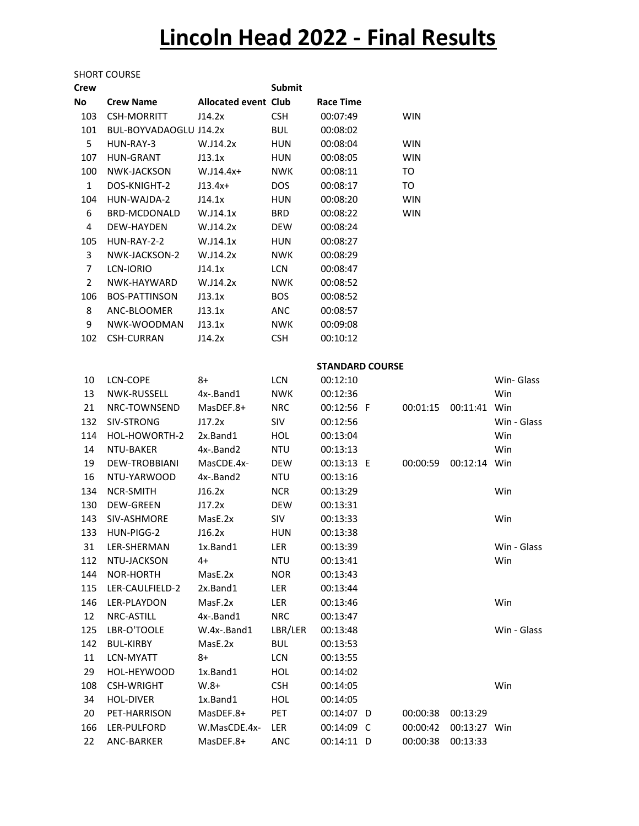## Lincoln Head 2022 - Final Results

## SHORT COURSE

| <b>Crew</b>    |                        |                             | <b>Submit</b> |                        |                |              |             |
|----------------|------------------------|-----------------------------|---------------|------------------------|----------------|--------------|-------------|
| No             | <b>Crew Name</b>       | <b>Allocated event Club</b> |               | <b>Race Time</b>       |                |              |             |
| 103            | <b>CSH-MORRITT</b>     | J14.2x                      | <b>CSH</b>    | 00:07:49               | <b>WIN</b>     |              |             |
| 101            | BUL-BOYVADAOGLU J14.2x |                             | <b>BUL</b>    | 00:08:02               |                |              |             |
| 5              | HUN-RAY-3              | W.J14.2x                    | <b>HUN</b>    | 00:08:04               | <b>WIN</b>     |              |             |
| 107            | <b>HUN-GRANT</b>       | J13.1x                      | HUN           | 00:08:05               | <b>WIN</b>     |              |             |
| 100            | NWK-JACKSON            | $W.J14.4x+$                 | <b>NWK</b>    | 00:08:11               | TO             |              |             |
| $\mathbf{1}$   | DOS-KNIGHT-2           | $J13.4x+$                   | <b>DOS</b>    | 00:08:17               | T <sub>O</sub> |              |             |
| 104            | HUN-WAJDA-2            | J14.1x                      | <b>HUN</b>    | 00:08:20               | <b>WIN</b>     |              |             |
| 6              | <b>BRD-MCDONALD</b>    | W.J14.1x                    | <b>BRD</b>    | 00:08:22               | <b>WIN</b>     |              |             |
| 4              | DEW-HAYDEN             | W.J14.2x                    | <b>DEW</b>    | 00:08:24               |                |              |             |
| 105            | HUN-RAY-2-2            | W.J14.1x                    | <b>HUN</b>    | 00:08:27               |                |              |             |
| 3              | NWK-JACKSON-2          | W.J14.2x                    | <b>NWK</b>    | 00:08:29               |                |              |             |
| $\overline{7}$ | LCN-IORIO              | J14.1x                      | <b>LCN</b>    | 00:08:47               |                |              |             |
| $\overline{2}$ | NWK-HAYWARD            | W.J14.2x                    | <b>NWK</b>    | 00:08:52               |                |              |             |
| 106            | <b>BOS-PATTINSON</b>   | J13.1x                      | <b>BOS</b>    | 00:08:52               |                |              |             |
| 8              | ANC-BLOOMER            | J13.1x                      | <b>ANC</b>    | 00:08:57               |                |              |             |
| 9              | NWK-WOODMAN            | J13.1x                      | <b>NWK</b>    | 00:09:08               |                |              |             |
| 102            | <b>CSH-CURRAN</b>      | J14.2x                      | <b>CSH</b>    | 00:10:12               |                |              |             |
|                |                        |                             |               |                        |                |              |             |
|                |                        |                             |               | <b>STANDARD COURSE</b> |                |              |             |
| 10             | LCN-COPE               | 8+                          | <b>LCN</b>    | 00:12:10               |                |              | Win- Glass  |
| 13             | NWK-RUSSELL            | 4x-.Band1                   | <b>NWK</b>    | 00:12:36               |                |              | Win         |
| 21             | NRC-TOWNSEND           | MasDEF.8+                   | <b>NRC</b>    | 00:12:56 F             | 00:01:15       | 00:11:41     | Win         |
| 132            | SIV-STRONG             | J17.2x                      | SIV           | 00:12:56               |                |              | Win - Glass |
| 114            | HOL-HOWORTH-2          | 2x.Band1                    | <b>HOL</b>    | 00:13:04               |                |              | Win         |
| 14             | NTU-BAKER              | 4x-.Band2                   | <b>NTU</b>    | 00:13:13               |                |              | Win         |
| 19             | DEW-TROBBIANI          | MasCDE.4x-                  | <b>DEW</b>    | 00:13:13 E             | 00:00:59       | 00:12:14     | Win         |
| 16             | NTU-YARWOOD            | 4x-.Band2                   | NTU           | 00:13:16               |                |              |             |
| 134            | <b>NCR-SMITH</b>       | J16.2x                      | <b>NCR</b>    | 00:13:29               |                |              | Win         |
| 130            | <b>DEW-GREEN</b>       | J17.2x                      | <b>DEW</b>    | 00:13:31               |                |              |             |
| 143            | SIV-ASHMORE            | MasE.2x                     | SIV           | 00:13:33               |                |              | Win         |
| 133            | HUN-PIGG-2             | J16.2x                      | HUN           | 00:13:38               |                |              |             |
| 31             | LER-SHERMAN            | 1x.Band1                    | LER           | 00:13:39               |                |              | Win - Glass |
| 112            | NTU-JACKSON            | 4+                          | <b>NTU</b>    | 00:13:41               |                |              | Win         |
| 144            | NOR-HORTH              | MasE.2x                     | <b>NOR</b>    | 00:13:43               |                |              |             |
| 115            | LER-CAULFIELD-2        | 2x.Band1                    | LER           | 00:13:44               |                |              |             |
| 146            | LER-PLAYDON            | MasF.2x                     | LER           | 00:13:46               |                |              | Win         |
| 12             | NRC-ASTILL             | 4x-.Band1                   | <b>NRC</b>    | 00:13:47               |                |              |             |
| 125            | LBR-O'TOOLE            | W.4x-.Band1                 | LBR/LER       | 00:13:48               |                |              | Win - Glass |
| 142            | <b>BUL-KIRBY</b>       | MasE.2x                     | <b>BUL</b>    | 00:13:53               |                |              |             |
| 11             | LCN-MYATT              | 8+                          | <b>LCN</b>    | 00:13:55               |                |              |             |
| 29             | HOL-HEYWOOD            | 1x.Band1                    | HOL           | 00:14:02               |                |              |             |
| 108            | <b>CSH-WRIGHT</b>      | $W.8+$                      | <b>CSH</b>    | 00:14:05               |                |              | Win         |
| 34             | <b>HOL-DIVER</b>       | 1x.Band1                    | HOL           | 00:14:05               |                |              |             |
| 20             | PET-HARRISON           | MasDEF.8+                   | PET           | 00:14:07 D             | 00:00:38       | 00:13:29     |             |
| 166            | LER-PULFORD            | W.MasCDE.4x-                | LER           | 00:14:09 C             | 00:00:42       | 00:13:27 Win |             |
| 22             | ANC-BARKER             | MasDEF.8+                   | <b>ANC</b>    | 00:14:11 D             | 00:00:38       | 00:13:33     |             |
|                |                        |                             |               |                        |                |              |             |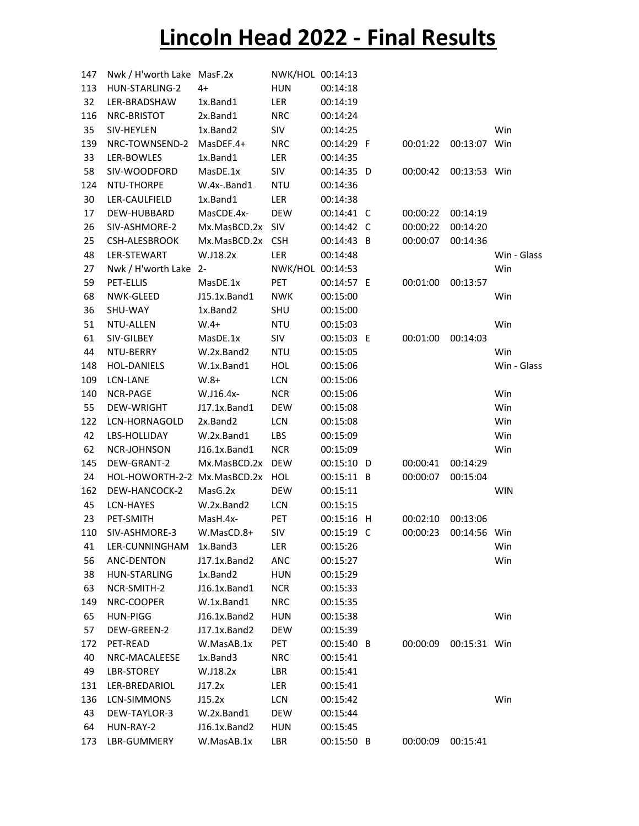## Lincoln Head 2022 - Final Results

| 147 | Nwk / H'worth Lake MasF.2x       |                  | NWK/HOL 00:14:13 |            |          |              |             |
|-----|----------------------------------|------------------|------------------|------------|----------|--------------|-------------|
| 113 | HUN-STARLING-2                   | 4+               | <b>HUN</b>       | 00:14:18   |          |              |             |
| 32  | LER-BRADSHAW                     | 1x.Band1         | LER              | 00:14:19   |          |              |             |
| 116 | NRC-BRISTOT                      | 2x.Band1         | <b>NRC</b>       | 00:14:24   |          |              |             |
| 35  | SIV-HEYLEN                       | 1x.Band2         | SIV              | 00:14:25   |          |              | Win         |
| 139 | NRC-TOWNSEND-2                   | MasDEF.4+        | <b>NRC</b>       | 00:14:29 F | 00:01:22 | 00:13:07 Win |             |
| 33  | LER-BOWLES                       | 1x.Band1         | LER              | 00:14:35   |          |              |             |
| 58  | SIV-WOODFORD                     | MasDE.1x         | SIV              | 00:14:35 D | 00:00:42 | 00:13:53 Win |             |
| 124 | NTU-THORPE                       | W.4x-.Band1      | <b>NTU</b>       | 00:14:36   |          |              |             |
| 30  | LER-CAULFIELD                    | 1x.Band1         | LER              | 00:14:38   |          |              |             |
| 17  | DEW-HUBBARD                      | MasCDE.4x-       | DEW              | 00:14:41 C | 00:00:22 | 00:14:19     |             |
| 26  | SIV-ASHMORE-2                    | Mx.MasBCD.2x SIV |                  | 00:14:42 C | 00:00:22 | 00:14:20     |             |
| 25  | CSH-ALESBROOK                    | Mx.MasBCD.2x CSH |                  | 00:14:43 B | 00:00:07 | 00:14:36     |             |
| 48  | LER-STEWART                      | W.J18.2x         | LER              | 00:14:48   |          |              | Win - Glass |
| 27  | Nwk / H'worth Lake 2-            |                  | NWK/HOL 00:14:53 |            |          |              | Win         |
| 59  | PET-ELLIS                        | MasDE.1x         | PET              | 00:14:57 E | 00:01:00 | 00:13:57     |             |
| 68  | NWK-GLEED                        | J15.1x.Band1     | <b>NWK</b>       | 00:15:00   |          |              | Win         |
| 36  | SHU-WAY                          | 1x.Band2         | SHU              | 00:15:00   |          |              |             |
| 51  | NTU-ALLEN                        | $W.4+$           | <b>NTU</b>       | 00:15:03   |          |              | Win         |
| 61  | SIV-GILBEY                       | MasDE.1x         | SIV              | 00:15:03 E | 00:01:00 | 00:14:03     |             |
| 44  | NTU-BERRY                        | W.2x.Band2       | <b>NTU</b>       | 00:15:05   |          |              | Win         |
| 148 | <b>HOL-DANIELS</b>               | W.1x.Band1       | HOL              | 00:15:06   |          |              | Win - Glass |
| 109 | LCN-LANE                         | $W.8+$           | LCN              | 00:15:06   |          |              |             |
| 140 | NCR-PAGE                         | W.J16.4x-        | <b>NCR</b>       | 00:15:06   |          |              | Win         |
| 55  | DEW-WRIGHT                       | J17.1x.Band1     | DEW              | 00:15:08   |          |              | Win         |
| 122 | LCN-HORNAGOLD                    | 2x.Band2         | LCN              | 00:15:08   |          |              | Win         |
| 42  | LBS-HOLLIDAY                     | W.2x.Band1       | LBS              | 00:15:09   |          |              | Win         |
| 62  | NCR-JOHNSON                      | J16.1x.Band1     | <b>NCR</b>       | 00:15:09   |          |              | Win         |
| 145 | DEW-GRANT-2                      | Mx.MasBCD.2x DEW |                  | 00:15:10 D | 00:00:41 | 00:14:29     |             |
| 24  | HOL-HOWORTH-2-2 Mx.MasBCD.2x HOL |                  |                  | 00:15:11 B | 00:00:07 | 00:15:04     |             |
| 162 | DEW-HANCOCK-2                    | MasG.2x          | DEW              | 00:15:11   |          |              | <b>WIN</b>  |
| 45  | LCN-HAYES                        | W.2x.Band2       | LCN              | 00:15:15   |          |              |             |
| 23  | PET-SMITH                        | MasH.4x-         | PET              | 00:15:16 H | 00:02:10 | 00:13:06     |             |
| 110 | SIV-ASHMORE-3                    | W.MasCD.8+       | SIV              | 00:15:19 C | 00:00:23 | 00:14:56 Win |             |
| 41  | LER-CUNNINGHAM 1x.Band3          |                  | LER              | 00:15:26   |          |              | Win         |
| 56  | ANC-DENTON                       | J17.1x.Band2     | ANC              | 00:15:27   |          |              | Win         |
| 38  | HUN-STARLING                     | 1x.Band2         | <b>HUN</b>       | 00:15:29   |          |              |             |
| 63  | NCR-SMITH-2                      | J16.1x.Band1     | <b>NCR</b>       | 00:15:33   |          |              |             |
| 149 | NRC-COOPER                       | W.1x.Band1       | <b>NRC</b>       | 00:15:35   |          |              |             |
| 65  | HUN-PIGG                         | J16.1x.Band2     | HUN              | 00:15:38   |          |              | Win         |
| 57  | DEW-GREEN-2                      | J17.1x.Band2     | DEW              | 00:15:39   |          |              |             |
| 172 | PET-READ                         | W.MasAB.1x       | PET              | 00:15:40 B | 00:00:09 | 00:15:31 Win |             |
| 40  | NRC-MACALEESE                    | 1x.Band3         | <b>NRC</b>       | 00:15:41   |          |              |             |
| 49  | LBR-STOREY                       | W.J18.2x         | LBR              | 00:15:41   |          |              |             |
| 131 | LER-BREDARIOL                    | J17.2x           | LER              | 00:15:41   |          |              |             |
| 136 | LCN-SIMMONS                      | J15.2x           | LCN              | 00:15:42   |          |              | Win         |
| 43  | DEW-TAYLOR-3                     | W.2x.Band1       | DEW              | 00:15:44   |          |              |             |
| 64  | HUN-RAY-2                        | J16.1x.Band2     | HUN              | 00:15:45   |          |              |             |
| 173 | LBR-GUMMERY                      | W.MasAB.1x       | LBR              | 00:15:50 B | 00:00:09 | 00:15:41     |             |